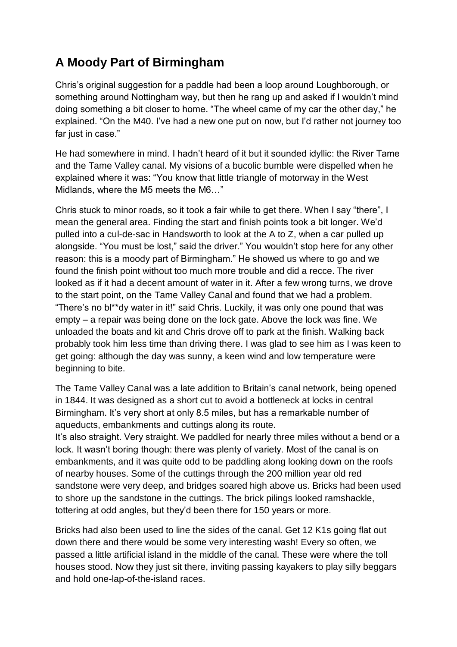## **A Moody Part of Birmingham**

Chris's original suggestion for a paddle had been a loop around Loughborough, or something around Nottingham way, but then he rang up and asked if I wouldn't mind doing something a bit closer to home. "The wheel came of my car the other day," he explained. "On the M40. I've had a new one put on now, but I'd rather not journey too far just in case."

He had somewhere in mind. I hadn't heard of it but it sounded idyllic: the River Tame and the Tame Valley canal. My visions of a bucolic bumble were dispelled when he explained where it was: "You know that little triangle of motorway in the West Midlands, where the M5 meets the M6…"

Chris stuck to minor roads, so it took a fair while to get there. When I say "there", I mean the general area. Finding the start and finish points took a bit longer. We'd pulled into a cul-de-sac in Handsworth to look at the A to Z, when a car pulled up alongside. "You must be lost," said the driver." You wouldn't stop here for any other reason: this is a moody part of Birmingham." He showed us where to go and we found the finish point without too much more trouble and did a recce. The river looked as if it had a decent amount of water in it. After a few wrong turns, we drove to the start point, on the Tame Valley Canal and found that we had a problem. "There's no bl\*\*dy water in it!" said Chris. Luckily, it was only one pound that was empty – a repair was being done on the lock gate. Above the lock was fine. We unloaded the boats and kit and Chris drove off to park at the finish. Walking back probably took him less time than driving there. I was glad to see him as I was keen to get going: although the day was sunny, a keen wind and low temperature were beginning to bite.

The Tame Valley Canal was a late addition to Britain's canal network, being opened in 1844. It was designed as a short cut to avoid a bottleneck at locks in central Birmingham. It's very short at only 8.5 miles, but has a remarkable number of aqueducts, embankments and cuttings along its route.

It's also straight. Very straight. We paddled for nearly three miles without a bend or a lock. It wasn't boring though: there was plenty of variety. Most of the canal is on embankments, and it was quite odd to be paddling along looking down on the roofs of nearby houses. Some of the cuttings through the 200 million year old red sandstone were very deep, and bridges soared high above us. Bricks had been used to shore up the sandstone in the cuttings. The brick pilings looked ramshackle, tottering at odd angles, but they'd been there for 150 years or more.

Bricks had also been used to line the sides of the canal. Get 12 K1s going flat out down there and there would be some very interesting wash! Every so often, we passed a little artificial island in the middle of the canal. These were where the toll houses stood. Now they just sit there, inviting passing kayakers to play silly beggars and hold one-lap-of-the-island races.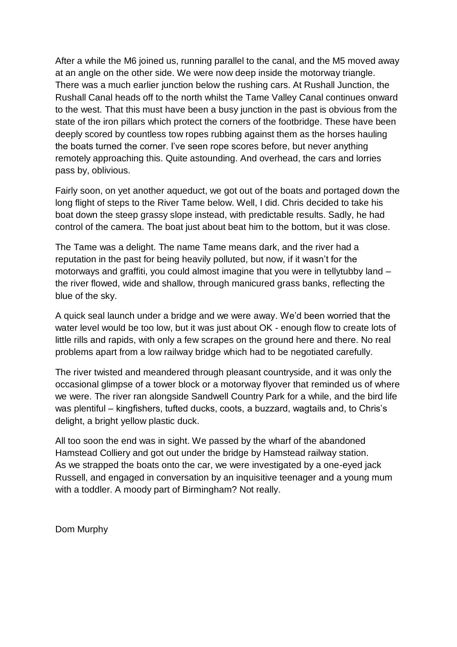After a while the M6 joined us, running parallel to the canal, and the M5 moved away at an angle on the other side. We were now deep inside the motorway triangle. There was a much earlier junction below the rushing cars. At Rushall Junction, the Rushall Canal heads off to the north whilst the Tame Valley Canal continues onward to the west. That this must have been a busy junction in the past is obvious from the state of the iron pillars which protect the corners of the footbridge. These have been deeply scored by countless tow ropes rubbing against them as the horses hauling the boats turned the corner. I've seen rope scores before, but never anything remotely approaching this. Quite astounding. And overhead, the cars and lorries pass by, oblivious.

Fairly soon, on yet another aqueduct, we got out of the boats and portaged down the long flight of steps to the River Tame below. Well, I did. Chris decided to take his boat down the steep grassy slope instead, with predictable results. Sadly, he had control of the camera. The boat just about beat him to the bottom, but it was close.

The Tame was a delight. The name Tame means dark, and the river had a reputation in the past for being heavily polluted, but now, if it wasn't for the motorways and graffiti, you could almost imagine that you were in tellytubby land – the river flowed, wide and shallow, through manicured grass banks, reflecting the blue of the sky.

A quick seal launch under a bridge and we were away. We'd been worried that the water level would be too low, but it was just about OK - enough flow to create lots of little rills and rapids, with only a few scrapes on the ground here and there. No real problems apart from a low railway bridge which had to be negotiated carefully.

The river twisted and meandered through pleasant countryside, and it was only the occasional glimpse of a tower block or a motorway flyover that reminded us of where we were. The river ran alongside Sandwell Country Park for a while, and the bird life was plentiful – kingfishers, tufted ducks, coots, a buzzard, wagtails and, to Chris's delight, a bright yellow plastic duck.

All too soon the end was in sight. We passed by the wharf of the abandoned Hamstead Colliery and got out under the bridge by Hamstead railway station. As we strapped the boats onto the car, we were investigated by a one-eyed jack Russell, and engaged in conversation by an inquisitive teenager and a young mum with a toddler. A moody part of Birmingham? Not really.

Dom Murphy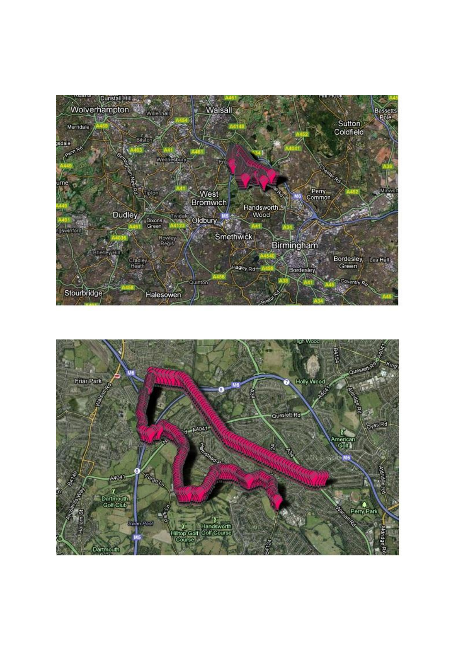

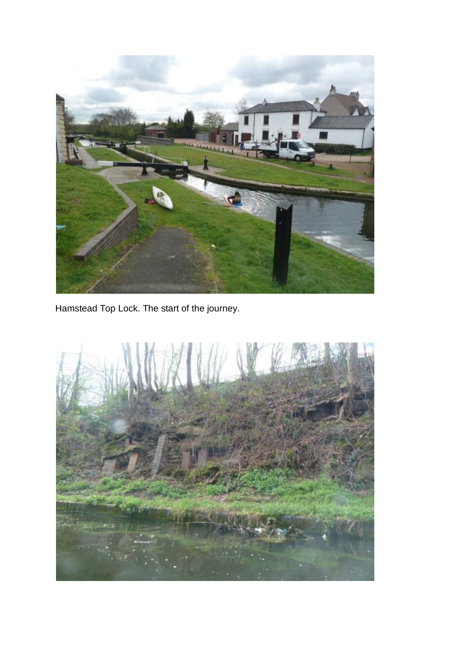

Hamstead Top Lock. The start of the journey.

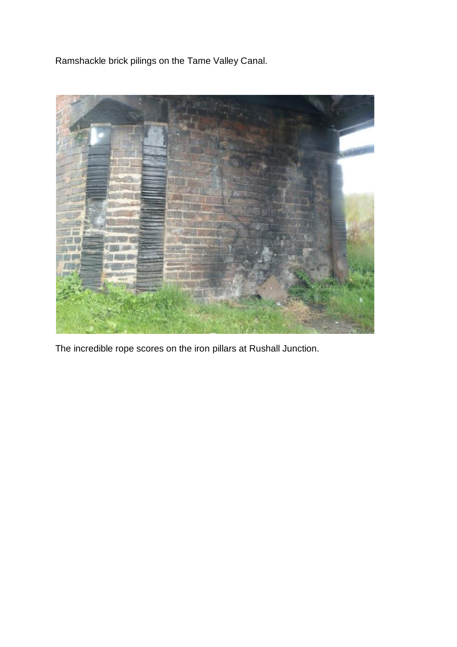Ramshackle brick pilings on the Tame Valley Canal.



The incredible rope scores on the iron pillars at Rushall Junction.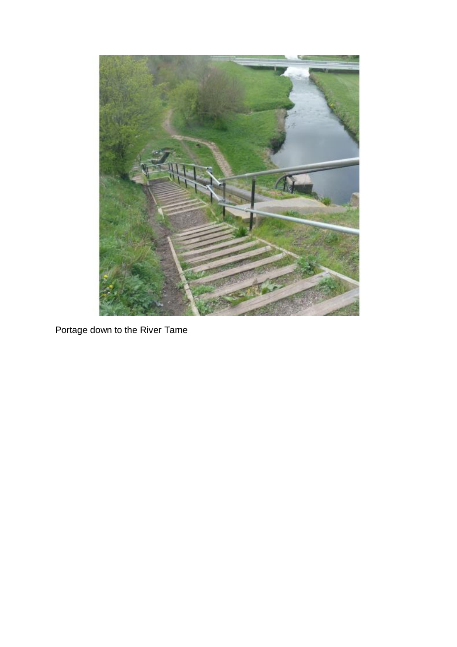

Portage down to the River Tame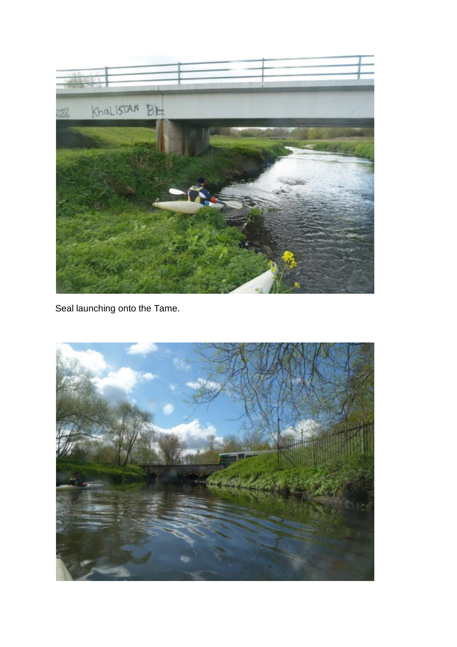

Seal launching onto the Tame.